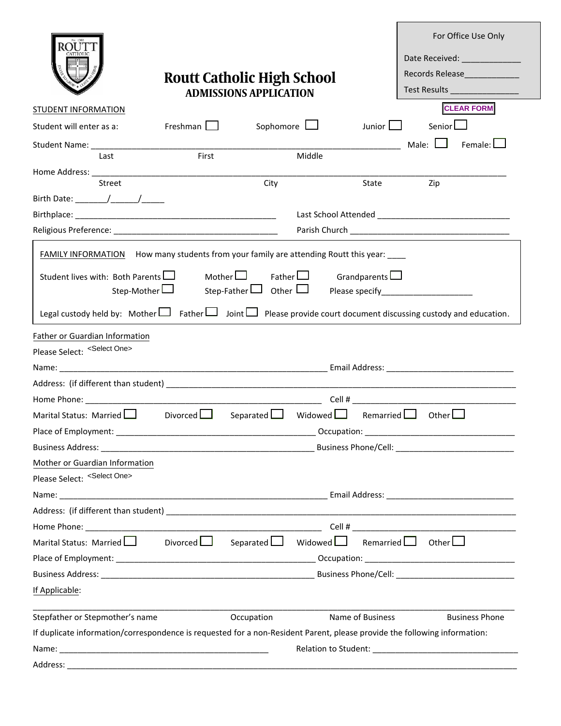|                                                                                                                                 |                 |                                                                    |              |                  | For Office Use Only                                                                                            |  |  |
|---------------------------------------------------------------------------------------------------------------------------------|-----------------|--------------------------------------------------------------------|--------------|------------------|----------------------------------------------------------------------------------------------------------------|--|--|
|                                                                                                                                 |                 |                                                                    |              |                  | Date Received: The Case of the Case of the Case of the Case of the Case of the Case of the Case of the Case of |  |  |
|                                                                                                                                 |                 |                                                                    |              |                  | Records Release                                                                                                |  |  |
|                                                                                                                                 |                 | <b>Routt Catholic High School</b><br><b>ADMISSIONS APPLICATION</b> |              |                  | Test Results _________________                                                                                 |  |  |
| <b>STUDENT INFORMATION</b>                                                                                                      |                 |                                                                    |              |                  | <b>CLEAR FORM</b>                                                                                              |  |  |
| Student will enter as a:                                                                                                        | Freshman $\Box$ | Sophomore $\Box$                                                   |              | Junior $\Box$    | Senior <sup>L</sup>                                                                                            |  |  |
|                                                                                                                                 |                 |                                                                    |              |                  | Male: $\Box$<br>Female: $\Box$                                                                                 |  |  |
| Last                                                                                                                            | First           |                                                                    | Middle       |                  |                                                                                                                |  |  |
| Street                                                                                                                          |                 | City                                                               |              | State            | Zip                                                                                                            |  |  |
|                                                                                                                                 |                 |                                                                    |              |                  |                                                                                                                |  |  |
|                                                                                                                                 |                 |                                                                    |              |                  |                                                                                                                |  |  |
|                                                                                                                                 |                 |                                                                    |              |                  |                                                                                                                |  |  |
|                                                                                                                                 |                 |                                                                    |              |                  |                                                                                                                |  |  |
| <b>FAMILY INFORMATION</b> How many students from your family are attending Routt this year: ____                                |                 |                                                                    |              |                  |                                                                                                                |  |  |
| Mother $\Box$ Father $\Box$ Grandparents $\Box$<br>Student lives with: Both Parents                                             |                 |                                                                    |              |                  |                                                                                                                |  |  |
| Step-Mother L                                                                                                                   |                 |                                                                    |              |                  |                                                                                                                |  |  |
| Legal custody held by: Mother $\Box$ Father $\Box$ Joint $\Box$ Please provide court document discussing custody and education. |                 |                                                                    |              |                  |                                                                                                                |  |  |
| Father or Guardian Information                                                                                                  |                 |                                                                    |              |                  |                                                                                                                |  |  |
| Please Select: <select one=""></select>                                                                                         |                 |                                                                    |              |                  |                                                                                                                |  |  |
|                                                                                                                                 |                 |                                                                    |              |                  |                                                                                                                |  |  |
|                                                                                                                                 |                 |                                                                    |              |                  |                                                                                                                |  |  |
|                                                                                                                                 |                 |                                                                    |              |                  | $Cell$ #                                                                                                       |  |  |
| Marital Status: Married Later                                                                                                   | Divorced $\Box$ | Separated $\Box$                                                   | Widowed Lagh |                  | Remarried $\Box$ Other $\Box$                                                                                  |  |  |
| Place of Employment:                                                                                                            |                 |                                                                    | Occupation:  |                  |                                                                                                                |  |  |
|                                                                                                                                 |                 |                                                                    |              |                  |                                                                                                                |  |  |
| Mother or Guardian Information                                                                                                  |                 |                                                                    |              |                  |                                                                                                                |  |  |
| Please Select: <select one=""></select>                                                                                         |                 |                                                                    |              |                  |                                                                                                                |  |  |
|                                                                                                                                 |                 |                                                                    |              |                  |                                                                                                                |  |  |
|                                                                                                                                 |                 |                                                                    |              |                  |                                                                                                                |  |  |
|                                                                                                                                 |                 |                                                                    |              |                  |                                                                                                                |  |  |
| Marital Status: Married   Divorced   J                                                                                          |                 | Separated $\Box$ Widowed $\Box$                                    |              |                  | Remarried $\Box$ Other $\Box$                                                                                  |  |  |
|                                                                                                                                 |                 |                                                                    |              |                  |                                                                                                                |  |  |
|                                                                                                                                 |                 |                                                                    |              |                  |                                                                                                                |  |  |
| If Applicable:                                                                                                                  |                 |                                                                    |              |                  |                                                                                                                |  |  |
| Stepfather or Stepmother's name                                                                                                 |                 | Occupation                                                         |              | Name of Business | <b>Business Phone</b>                                                                                          |  |  |
| If duplicate information/correspondence is requested for a non-Resident Parent, please provide the following information:       |                 |                                                                    |              |                  |                                                                                                                |  |  |
|                                                                                                                                 |                 |                                                                    |              |                  |                                                                                                                |  |  |
|                                                                                                                                 |                 |                                                                    |              |                  |                                                                                                                |  |  |